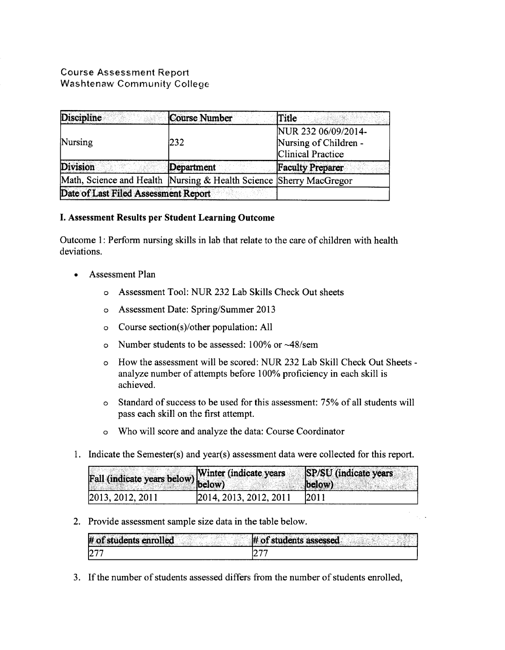# Course Assessment Report Washtenaw Community College

| <b>Discipline</b>                    | Course Number                                                      | Title                                                                    |  |
|--------------------------------------|--------------------------------------------------------------------|--------------------------------------------------------------------------|--|
| Nursing                              | 232                                                                | NUR 232 06/09/2014-<br>Nursing of Children -<br><b>Clinical Practice</b> |  |
| Division                             | Department                                                         | <b>Faculty Preparer</b>                                                  |  |
|                                      | Math, Science and Health Nursing & Health Science Sherry MacGregor |                                                                          |  |
| Date of Last Filed Assessment Report |                                                                    |                                                                          |  |

# I. Assessment Results per Student Learning Outcome

Outcome 1: Perform nursing skills in lab that relate to the care of children with health deviations.

- Assessment Plan
	- o Assessment Tool: NUR 232 Lab Skills Check Out sheets
	- o Assessment Date: Spring/Summer 2013
	- o Course section(s)/other population: All
	- o Number students to be assessed: 100% or -48/sem
	- o How the assessment will be scored: NUR 232 Lab Skill Check Out Sheets analyze number of attempts before 100% proficiency in each skill is achieved.
	- o Standard of success to be used for this assessment: 75% of all students will pass each skill on the first attempt.
	- o Who will score and analyze the data: Course Coordinator
- 1. Indicate the Semester(s) and year(s) assessment data were collected for this report.

| Fall (indicate years below) Winter (indicate years |                        | SP/SU (indicate years)<br>below) |
|----------------------------------------------------|------------------------|----------------------------------|
| 2013, 2012, 2011                                   | 2014, 2013, 2012, 2011 | 12011                            |

2. Provide assessment sample size data in the table below.

| # of students enrolled | of students assessed |
|------------------------|----------------------|
| 1277                   |                      |

3. If the number of students assessed differs from the number of students enrolled,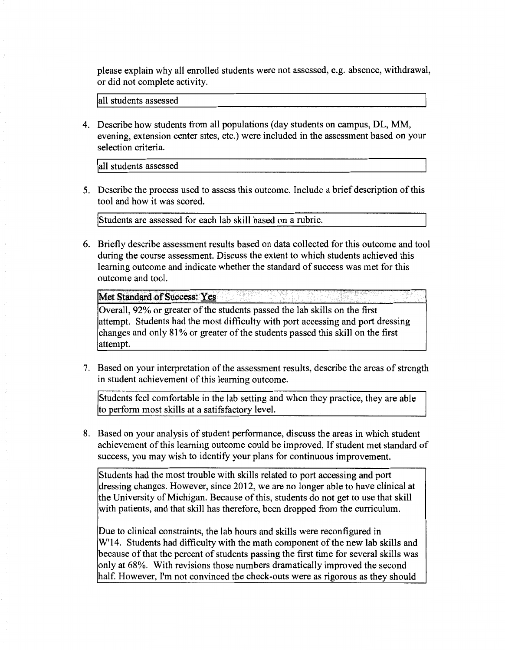please explain why all enrolled students were not assessed, e.g. absence, withdrawal, or did not complete activity.

lall students assessed

4. Describe how students from all populations (day students on campus, DL, MM, evening, extension center sites, etc.) were included in the assessment based on your selection criteria.

lall students assessed

5. Describe the process used to assess this outcome. Include a brief description of this tool and how it was scored.

!students are assessed for each lab skill based on a rubric.

6. Briefly describe assessment results based on data collected for this outcome and tool during the course assessment. Discuss the extent to which students achieved this learning outcome and indicate whether the standard of success was met for this outcome and tool.

Met Standard of Success: Yes

Overall, 92% or greater of the students passed the lab skills on the first attempt. Students had the most difficulty with port accessing and port dressing changes and only 81% or greater of the students passed this skill on the first attempt.

7. Based on your interpretation of the assessment results, describe the areas of strength in student achievement of this learning outcome.

Students feel comfortable in the lab setting and when they practice, they are able to perform most skills at a satifsfactory level.

8. Based on your analysis of student performance, discuss the areas in which student achievement of this learning outcome could be improved. If student met standard of success, you may wish to identify your plans for continuous improvement.

Students had the most trouble with skills related to port accessing and port dressing changes. However, since 2012, we are no longer able to have clinical at the University of Michigan. Because of this, students do not get to use that skill with patients, and that skill has therefore, been dropped from the curriculum.

Due to clinical constraints, the lab hours and skills were reconfigured in W'14. Students had difficulty with the math component of the new lab skills and because of that the percent of students passing the first time for several skills was only at 68%. With revisions those numbers dramatically improved the second half. However, I'm not convinced the check-outs were as rigorous as they should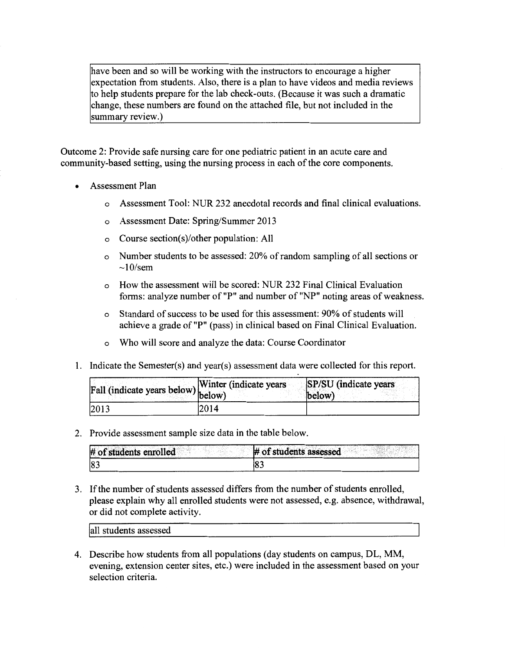have been and so will be working with the instructors to encourage a higher expectation from students. Also, there is a plan to have videos and media reviews to help students prepare for the lab check-outs. (Because it was such a dramatic change, these numbers are found on the attached file, but not included in the summary review.)

Outcome 2: Provide safe nursing care for one pediatric patient in an acute care and community-based setting, using the nursing process in each of the core components.

- Assessment Plan
	- o Assessment Tool: NUR 232 anecdotal records and final clinical evaluations.
	- o Assessment Date: Spring/Summer 2013
	- o Course section(s)/other population: All
	- o Number students to be assessed: 20% of random sampling of all sections or  $\sim$ 10/sem
	- o How the assessment will be scored: NUR 232 Final Clinical Evaluation forms: analyze number of "P" and number of "NP" noting areas of weakness.
	- o Standard of success to be used for this assessment: 90% of students will achieve a grade of "P" (pass) in clinical based on Final Clinical Evaluation.
	- o Who will score and analyze the data: Course Coordinator
- 1. Indicate the Semester(s) and year(s) assessment data were collected for this report.

| Fall (indicate years below) below) | $\sqrt{\text{Winter}}$ (indicate years) | SP/SU (indicate years)<br>below) |
|------------------------------------|-----------------------------------------|----------------------------------|
| 2013                               | 2014                                    |                                  |

2. Provide assessment sample size data in the table below.

| # of students enrolled | # of students assessed |
|------------------------|------------------------|
| 183                    | 0.                     |

3. If the number of students assessed differs from the number of students enrolled, please explain why all enrolled students were not assessed, e.g. absence, withdrawal, or did not complete activity.

all students assessed

4. Describe how students from all populations (day students on campus, DL, MM, evening, extension center sites, etc.) were included in the assessment based on your selection criteria.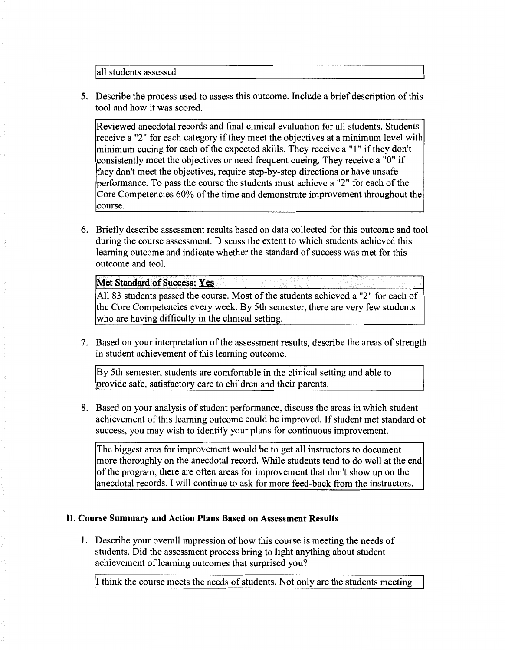jall students assessed

5. Describe the process used to assess this outcome. Include a brief description of this tool and how it was scored.

Reviewed anecdotal records and final clinical evaluation for all students. Students receive a "2" for each category if they meet the objectives at a minimum level with minimum cueing for each of the expected skills. They receive a **"1"** if they don't consistently meet the objectives or need frequent cueing. They receive a "0" if they don't meet the objectives, require step-by-step directions or have unsafe performance. To pass the course the students must achieve a "2" for each of the Core Competencies 60% of the time and demonstrate improvement throughout the course.

6. Briefly describe assessment results based on data collected for this outcome and tool during the course assessment. Discuss the extent to which students achieved this learning outcome and indicate whether the standard of success was met for this outcome and tool.

## **Met Standard of Success: Yes**

All 83 students passed the course. Most of the students achieved a "2" for each of the Core Competencies every week. By 5th semester, there are very few students who are having difficulty in the clinical setting.

7. Based on your interpretation of the assessment results, describe the areas of strength in student achievement of this learning outcome.

By 5th semester, students are comfortable in the clinical setting and able to provide safe, satisfactory care to children and their parents.

8. Based on your analysis of student performance, discuss the areas in which student achievement of this learning outcome could be improved. If student met standard of success, you may wish to identify your plans for continuous improvement.

The biggest area for improvement would be to get all instructors to document more thoroughly on the anecdotal record. While students tend to do well at the end of the program, there are often areas for improvement that don't show up on the anecdotal records. I will continue to ask for more feed-back from the instructors.

## **II. Course Summary and Action Plans Based on Assessment Results**

1. Describe your overall impression of how this course is meeting the needs of students. Did the assessment process bring to light anything about student achievement of learning outcomes that surprised you?

ji think the course meets the needs of students. Not only are the students meeting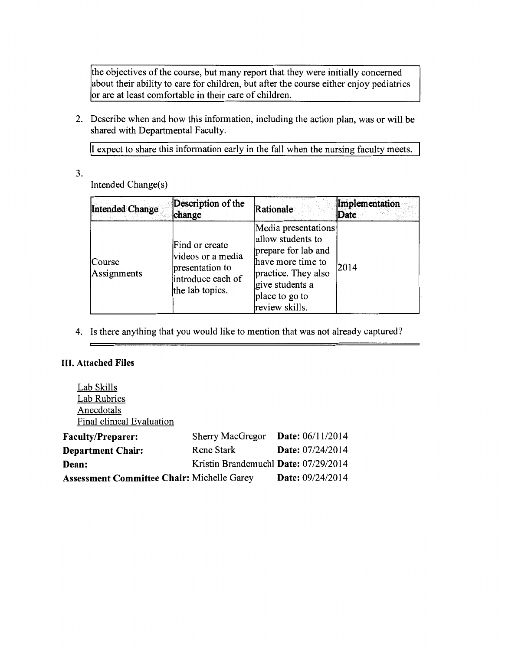the objectives of the course, but many report that they were initially concerned about their ability to care for children, but after the course either enjoy pediatrics or are at least comfortable in their care of children.

2. Describe when and how this information, including the action plan, was or will be shared with Departmental Faculty.

II expect to share this information early in the fall when the nursing faculty meets.

3.

Intended Change(s)

| <b>Intended Change</b> | Description of the<br>change                                                                   | Rationale                                                                                                                                                          | Implementation<br>Date |
|------------------------|------------------------------------------------------------------------------------------------|--------------------------------------------------------------------------------------------------------------------------------------------------------------------|------------------------|
| Course<br>Assignments  | Find or create<br>videos or a media<br>presentation to<br>introduce each of<br>the lab topics. | Media presentations<br>allow students to<br>prepare for lab and<br>have more time to<br>practice. They also<br>give students a<br>place to go to<br>review skills. | 2014                   |

4. Is there anything that you would like to mention that was not already captured?

# III. Attached Files

Lab Skills Lab Rubrics Anecdotals Final clinical Evaluation

| <b>Faculty/Preparer:</b>                   | <b>Sherry MacGregor</b>              | <b>Date:</b> $06/11/2014$ |  |
|--------------------------------------------|--------------------------------------|---------------------------|--|
| <b>Department Chair:</b>                   | Rene Stark                           | Date: 07/24/2014          |  |
| Dean:                                      | Kristin Brandemuehl Date: 07/29/2014 |                           |  |
| Assessment Committee Chair: Michelle Garey |                                      | Date: 09/24/2014          |  |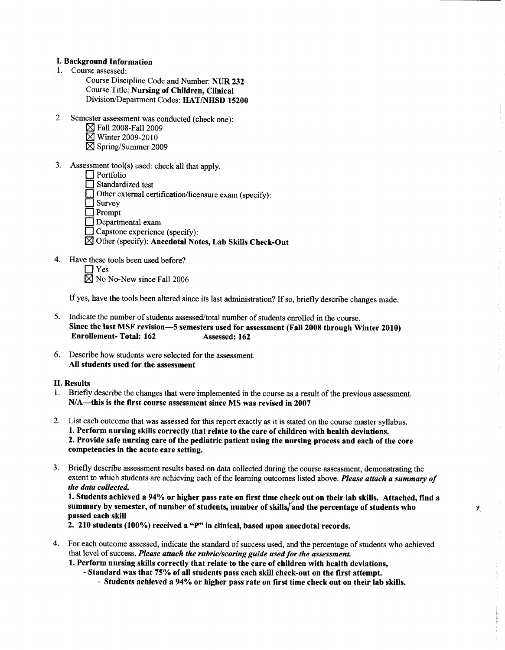### **I. Background Information**

- 1. Course assessed:
	- Course Discipline Code and Number: NUR 232 Course Title: Nursing of Children, Clinical Division/Department Codes: HAT/NHSD 15200
- 2. Semester assessment was conducted (check one):
	- $\boxtimes$  Fall 2008-Fall 2009
	- $\boxtimes$  Winter 2009-2010
	- $\boxtimes$  Spring/Summer 2009
- 3. Assessment tool(s) used: check all that apply.
	- $\Box$  Portfolio Standardized test
	- $\Box$  Other external certification/licensure exam (specify):
	- $\Box$  Survey
	- $\Box$  Prompt
	- Departmental exam
	- Capstone experience (specify):
	- ⊠ Other (specify): Anecdotal Notes, Lab Skills Check-Out
- 4. Have these tools been used before?

 $\Box$  Yes  $\boxtimes$  No No-New since Fall 2006

If yes, have the tools been altered since its last administration? If so, briefly describe changes made.

- 5. Indicate the number of students assessed/total number of students enrolled in the course. Since the last MSF revision-5 semesters used for assessment (Fall 2008 through Winter 2010) **Enrollement-Total: 162** Assessed: 162
- 6. Describe how students were selected for the assessment. All students used for the assessment

### **II. Results**

- 1. Briefly describe the changes that were implemented in the course as a result of the previous assessment. N/A—this is the first course assessment since MS was revised in 2007
- 2. List each outcome that was assessed for this report exactly as it is stated on the course master syllabus. 1. Perform nursing skills correctly that relate to the care of children with health deviations. 2. Provide safe nursing care of the pediatric patient using the nursing process and each of the core competencies in the acute care setting.
- 3. Briefly describe assessment results based on data collected during the course assessment, demonstrating the extent to which students are achieving each of the learning outcomes listed above. Please attach a summary of the data collected.

1. Students achieved a 94% or higher pass rate on first time check out on their lab skills. Attached, find a summary by semester, of number of students, number of skills/and the percentage of students who passed each skill

X.

2. 210 students (100%) received a "P" in clinical, based upon anecdotal records.

- 4. For each outcome assessed, indicate the standard of success used, and the percentage of students who achieved that level of success. Please attach the rubric/scoring guide used for the assessment.
	- 1. Perform nursing skills correctly that relate to the care of children with health deviations.
		- Standard was that 75% of all students pass each skill check-out on the first attempt.
			- Students achieved a 94% or higher pass rate on first time check out on their lab skills.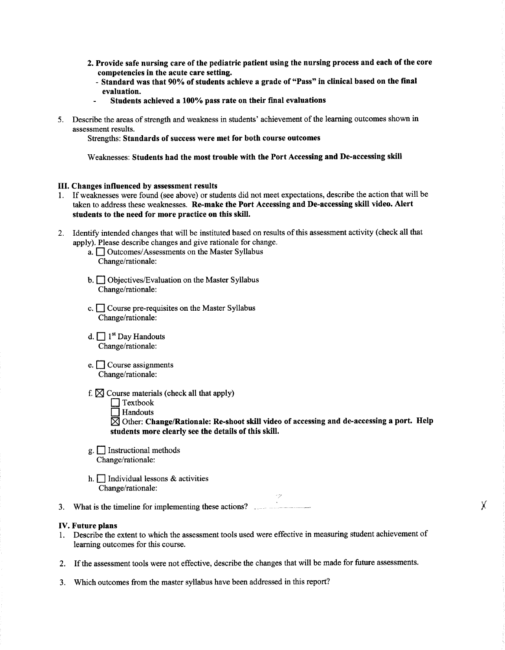- 2. Provide safe nursing care of the pediatric patient using the nursing process and each of the core competencies in the acute care setting.
	- Standard was that 90% of students achieve a grade of "Pass" in clinical based on the final evaluation.
	- Students achieved a 100% pass rate on their final evaluations
- 5. Describe the areas of strength and weakness in students' achievement of the learning outcomes shown in assessment results.

Strengths: Standards of success were met for both course outcomes

Weaknesses: Students had the most trouble with the Port Accessing and De-accessing skill

#### III. Changes influenced by assessment results

- 1. If weaknesses were found (see above) or students did not meet expectations, describe the action that will be taken to address these weaknesses. Re-make the Port Accessing and De-accessing skill video. Alert students to the need for more practice on this skill.
- 2. Identify intended changes that will be instituted based on results of this assessment activity (check all that apply). Please describe changes and give rationale for change.
	- a. <u>Outcomes</u>/Assessments on the Master Syllabus Change/rationale:
	- b. Objectives/Evaluation on the Master Syllabus Change/rationale:
	- c. Course pre-requisites on the Master Syllabus Change/rationale:
	- d.  $\Box$  1<sup>st</sup> Day Handouts Change/rationale:
	- e.  $\Box$  Course assignments Change/rationale:
	- f.  $\boxtimes$  Course materials (check all that apply)
		- $\Box$  Textbook
		- $\overline{\Box}$  Handouts

 $\boxtimes$  Other: Change/Rationale: Re-shoot skill video of accessing and de-accessing a port. Help students more clearly see the details of this skill.

Υ

- $g.$  Instructional methods Change/rationale:
- h.  $\Box$  Individual lessons & activities Change/rationale:

3. What is the timeline for implementing these actions?

#### **IV.** Future plans

- 1. Describe the extent to which the assessment tools used were effective in measuring student achievement of learning outcomes for this course.
- 2. If the assessment tools were not effective, describe the changes that will be made for future assessments.
- 3. Which outcomes from the master syllabus have been addressed in this report?